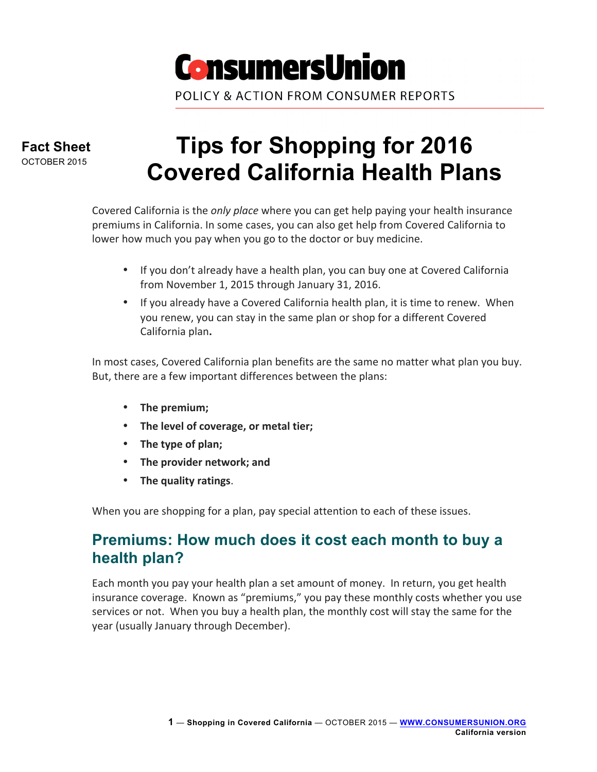

**Fact Sheet** OCTOBER 2015

# **Tips for Shopping for 2016 Covered California Health Plans**

Covered California is the *only place* where you can get help paying your health insurance premiums in California. In some cases, you can also get help from Covered California to lower how much you pay when you go to the doctor or buy medicine.

- If you don't already have a health plan, you can buy one at Covered California from November 1, 2015 through January 31, 2016.
- If you already have a Covered California health plan, it is time to renew. When you renew, you can stay in the same plan or shop for a different Covered California plan**.**

In most cases, Covered California plan benefits are the same no matter what plan you buy. But, there are a few important differences between the plans:

- The premium;
- The level of coverage, or metal tier;
- The type of plan;
- The provider network; and
- The quality ratings.

When you are shopping for a plan, pay special attention to each of these issues.

## **Premiums: How much does it cost each month to buy a health plan?**

Each month you pay your health plan a set amount of money. In return, you get health insurance coverage. Known as "premiums," you pay these monthly costs whether you use services or not. When you buy a health plan, the monthly cost will stay the same for the year (usually January through December).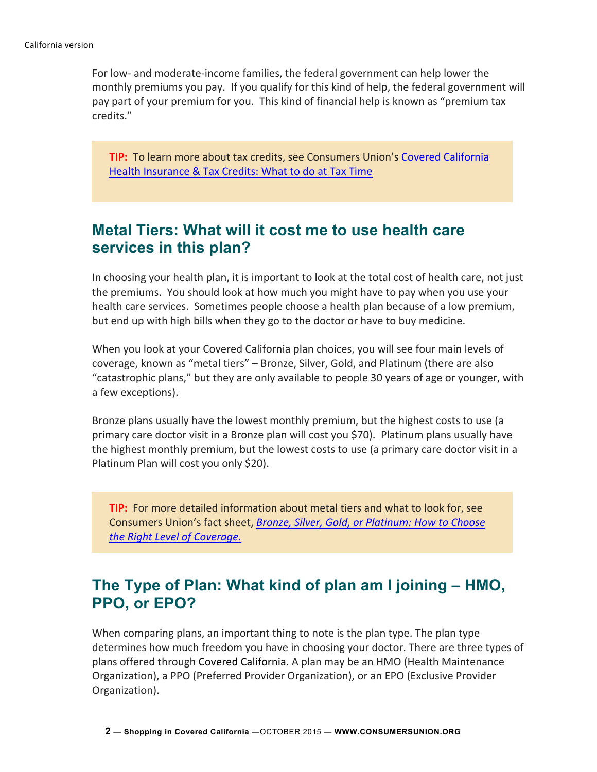For low- and moderate-income families, the federal government can help lower the monthly premiums you pay. If you qualify for this kind of help, the federal government will pay part of your premium for you. This kind of financial help is known as "premium tax credits." 

**TIP:** To learn more about tax credits, see Consumers Union's Covered California Health Insurance & Tax Credits: What to do at Tax Time

#### **Metal Tiers: What will it cost me to use health care services in this plan?**

In choosing your health plan, it is important to look at the total cost of health care, not just the premiums. You should look at how much you might have to pay when you use your health care services. Sometimes people choose a health plan because of a low premium, but end up with high bills when they go to the doctor or have to buy medicine.

When you look at your Covered California plan choices, you will see four main levels of coverage, known as "metal tiers" – Bronze, Silver, Gold, and Platinum (there are also "catastrophic plans," but they are only available to people 30 years of age or younger, with a few exceptions).

Bronze plans usually have the lowest monthly premium, but the highest costs to use (a primary care doctor visit in a Bronze plan will cost you \$70). Platinum plans usually have the highest monthly premium, but the lowest costs to use (a primary care doctor visit in a Platinum Plan will cost you only \$20).

**TIP:** For more detailed information about metal tiers and what to look for, see Consumers Union's fact sheet, *Bronze, Silver, Gold, or Platinum: How to Choose the Right Level of Coverage.*

## **The Type of Plan: What kind of plan am I joining – HMO, PPO, or EPO?**

When comparing plans, an important thing to note is the plan type. The plan type determines how much freedom you have in choosing your doctor. There are three types of plans offered through Covered California. A plan may be an HMO (Health Maintenance Organization), a PPO (Preferred Provider Organization), or an EPO (Exclusive Provider Organization).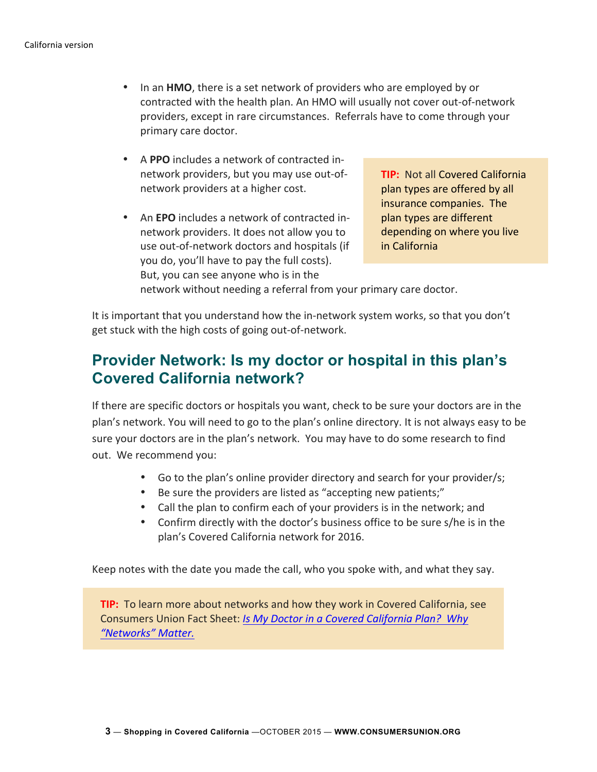- In an **HMO**, there is a set network of providers who are employed by or contracted with the health plan. An HMO will usually not cover out-of-network providers, except in rare circumstances. Referrals have to come through your primary care doctor.
- A PPO includes a network of contracted innetwork providers, but you may use out-ofnetwork providers at a higher cost.
- An **EPO** includes a network of contracted innetwork providers. It does not allow you to use out-of-network doctors and hospitals (if you do, you'll have to pay the full costs). But, you can see anyone who is in the

**TIP:** Not all Covered California plan types are offered by all insurance companies. The plan types are different depending on where you live in California

network without needing a referral from your primary care doctor.

It is important that you understand how the in-network system works, so that you don't get stuck with the high costs of going out-of-network.

#### **Provider Network: Is my doctor or hospital in this plan's Covered California network?**

If there are specific doctors or hospitals you want, check to be sure your doctors are in the plan's network. You will need to go to the plan's online directory. It is not always easy to be sure your doctors are in the plan's network. You may have to do some research to find out. We recommend you:

- Go to the plan's online provider directory and search for your provider/s;
- Be sure the providers are listed as "accepting new patients;"
- Call the plan to confirm each of your providers is in the network; and
- Confirm directly with the doctor's business office to be sure s/he is in the plan's Covered California network for 2016.

Keep notes with the date you made the call, who you spoke with, and what they say.

**TIP:** To learn more about networks and how they work in Covered California, see Consumers Union Fact Sheet: *Is My Doctor in a Covered California Plan?* Why *"Networks" Matter.*